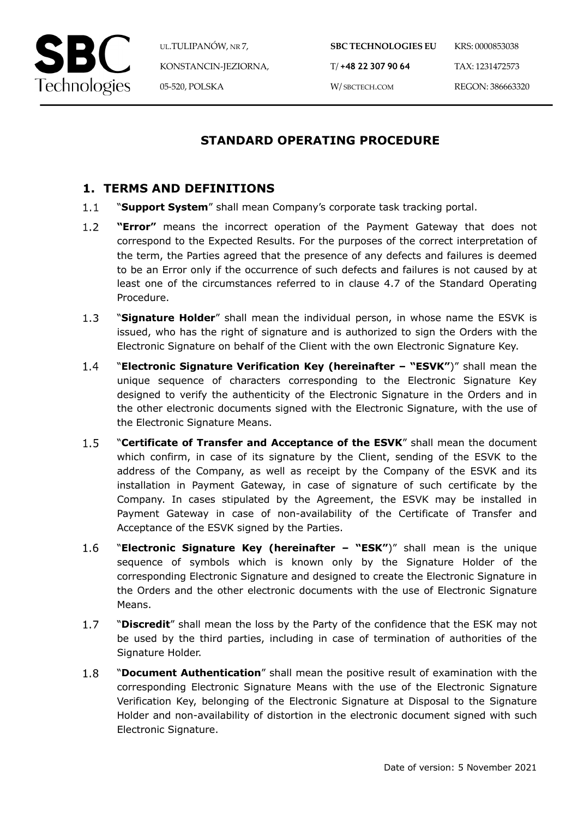

UL.TULIPANÓW, NR 7, KONSTANCIN-JEZIORNA, 05-520, POLSKA

# **STANDARD OPERATING PROCEDURE**

### **1. TERMS AND DEFINITIONS**

- $1.1$ "**Support System**" shall mean Company's corporate task tracking portal.
- $1.2$ **"Error"** means the incorrect operation of the Payment Gateway that does not correspond to the Expected Results. For the purposes of the correct interpretation of the term, the Parties agreed that the presence of any defects and failures is deemed to be an Error only if the occurrence of such defects and failures is not caused by at least one of the circumstances referred to in clause 4.7 of the Standard Operating Procedure.
- $1.3$ "**Signature Holder**" shall mean the individual person, in whose name the ESVK is issued, who has the right of signature and is authorized to sign the Orders with the Electronic Signature on behalf of the Client with the own Electronic Signature Key.
- $1.4$ "**Electronic Signature Verification Key (hereinafter – "ESVK"**)" shall mean the unique sequence of characters corresponding to the Electronic Signature Key designed to verify the authenticity of the Electronic Signature in the Orders and in the other electronic documents signed with the Electronic Signature, with the use of the Electronic Signature Means.
- $1.5$ "**Certificate of Transfer and Acceptance of the ESVK**" shall mean the document which confirm, in case of its signature by the Client, sending of the ESVK to the address of the Company, as well as receipt by the Company of the ESVK and its installation in Payment Gateway, in case of signature of such certificate by the Company. In cases stipulated by the Agreement, the ESVK may be installed in Payment Gateway in case of non-availability of the Certificate of Transfer and Acceptance of the ESVK signed by the Parties.
- 1.6 "**Electronic Signature Key (hereinafter – "ESK"**)" shall mean is the unique sequence of symbols which is known only by the Signature Holder of the corresponding Electronic Signature and designed to create the Electronic Signature in the Orders and the other electronic documents with the use of Electronic Signature Means.
- $1.7$ "**Discredit**" shall mean the loss by the Party of the confidence that the ESK may not be used by the third parties, including in case of termination of authorities of the Signature Holder.
- $1.8$ "**Document Authentication**" shall mean the positive result of examination with the corresponding Electronic Signature Means with the use of the Electronic Signature Verification Key, belonging of the Electronic Signature at Disposal to the Signature Holder and non-availability of distortion in the electronic document signed with such Electronic Signature.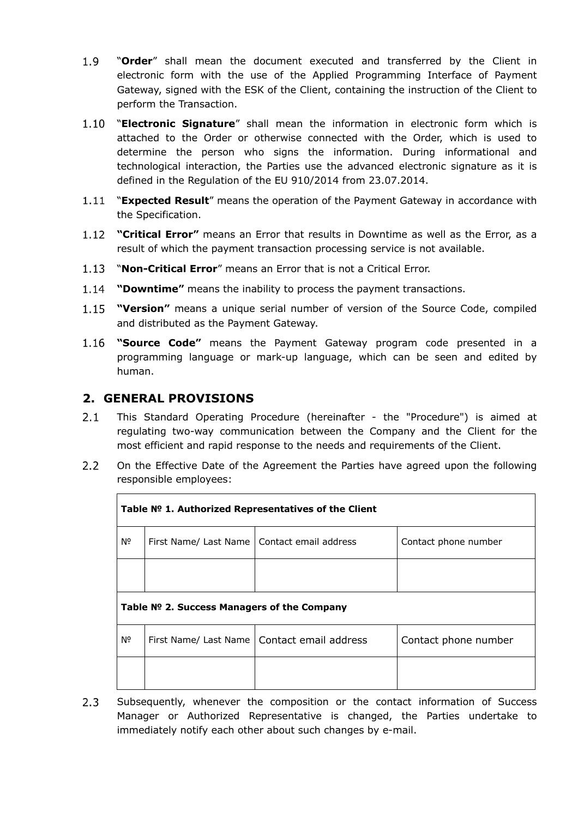- 1.9 "**Order**" shall mean the document executed and transferred by the Client in electronic form with the use of the Applied Programming Interface of Payment Gateway, signed with the ESK of the Client, containing the instruction of the Client to perform the Transaction.
- "**Electronic Signature**" shall mean the information in electronic form which is attached to the Order or otherwise connected with the Order, which is used to determine the person who signs the information. During informational and technological interaction, the Parties use the advanced electronic signature as it is defined in the Regulation of the EU 910/2014 from 23.07.2014.
- 1.11 "**Expected Result**" means the operation of the Payment Gateway in accordance with the Specification.
- **"Critical Error"** means an Error that results in Downtime as well as the Error, as a result of which the payment transaction processing service is not available.
- "**Non-Critical Error**" means an Error that is not a Critical Error.
- **"Downtime"** means the inability to process the payment transactions.
- **"Version"** means a unique serial number of version of the Source Code, compiled and distributed as the Payment Gateway.
- 1.16 **"Source Code"** means the Payment Gateway program code presented in a programming language or mark-up language, which can be seen and edited by human.

### **2. GENERAL PROVISIONS**

- $2.1$ This Standard Operating Procedure (hereinafter - the "Procedure") is aimed at regulating two-way communication between the Company and the Client for the most efficient and rapid response to the needs and requirements of the Client.
- $2.2$ On the Effective Date of the Agreement the Parties have agreed upon the following responsible employees:

| Table Nº 1. Authorized Representatives of the Client |                                               |                                               |                      |  |  |  |
|------------------------------------------------------|-----------------------------------------------|-----------------------------------------------|----------------------|--|--|--|
| Nº                                                   | First Name/ Last Name   Contact email address |                                               | Contact phone number |  |  |  |
|                                                      |                                               |                                               |                      |  |  |  |
| Table № 2. Success Managers of the Company           |                                               |                                               |                      |  |  |  |
| Nº                                                   |                                               | First Name/ Last Name   Contact email address | Contact phone number |  |  |  |
|                                                      |                                               |                                               |                      |  |  |  |

 $2.3$ Subsequently, whenever the composition or the contact information of Success Manager or Authorized Representative is changed, the Parties undertake to immediately notify each other about such changes by e-mail.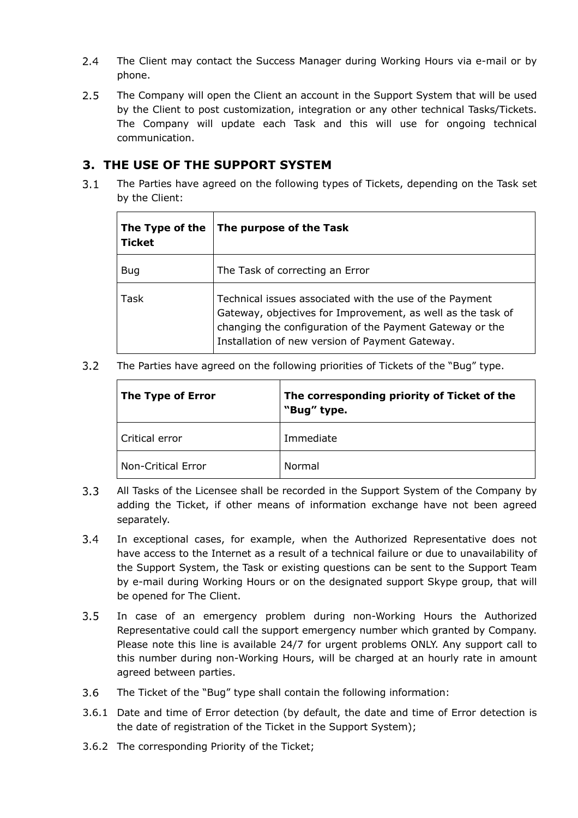- $2.4$ The Client may contact the Success Manager during Working Hours via e-mail or by phone.
- $2.5$ The Company will open the Client an account in the Support System that will be used by the Client to post customization, integration or any other technical Tasks/Tickets. The Company will update each Task and this will use for ongoing technical communication.

### **3. THE USE OF THE SUPPORT SYSTEM**

 $3.1$ The Parties have agreed on the following types of Tickets, depending on the Task set by the Client:

| The Type of the<br><b>Ticket</b> | The purpose of the Task                                                                                                                                                                                                               |
|----------------------------------|---------------------------------------------------------------------------------------------------------------------------------------------------------------------------------------------------------------------------------------|
| <b>Bug</b>                       | The Task of correcting an Error                                                                                                                                                                                                       |
| Task                             | Technical issues associated with the use of the Payment<br>Gateway, objectives for Improvement, as well as the task of<br>changing the configuration of the Payment Gateway or the<br>Installation of new version of Payment Gateway. |

 $3.2$ The Parties have agreed on the following priorities of Tickets of the "Bug" type.

| The Type of Error         | The corresponding priority of Ticket of the<br>"Bug" type. |  |
|---------------------------|------------------------------------------------------------|--|
| Critical error            | Immediate                                                  |  |
| <b>Non-Critical Error</b> | Normal                                                     |  |

- $3.3$ All Tasks of the Licensee shall be recorded in the Support System of the Company by adding the Ticket, if other means of information exchange have not been agreed separately.
- $3.4$ In exceptional cases, for example, when the Authorized Representative does not have access to the Internet as a result of a technical failure or due to unavailability of the Support System, the Task or existing questions can be sent to the Support Team by e-mail during Working Hours or on the designated support Skype group, that will be opened for The Client.
- $3.5$ In case of an emergency problem during non-Working Hours the Authorized Representative could call the support emergency number which granted by Company. Please note this line is available 24/7 for urgent problems ONLY. Any support call to this number during non-Working Hours, will be charged at an hourly rate in amount agreed between parties.
- $3.6$ The Ticket of the "Bug" type shall contain the following information:
- 3.6.1 Date and time of Error detection (by default, the date and time of Error detection is the date of registration of the Ticket in the Support System);
- 3.6.2 The corresponding Priority of the Ticket;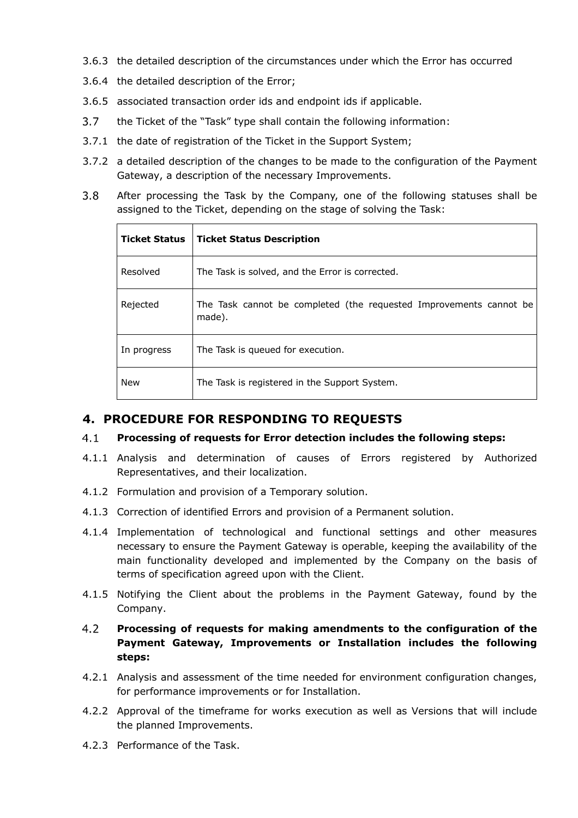- 3.6.3 the detailed description of the circumstances under which the Error has occurred
- 3.6.4 the detailed description of the Error;
- 3.6.5 associated transaction order ids and endpoint ids if applicable.
- $3.7$ the Ticket of the "Task" type shall contain the following information:
- 3.7.1 the date of registration of the Ticket in the Support System;
- 3.7.2 a detailed description of the changes to be made to the configuration of the Payment Gateway, a description of the necessary Improvements.
- $3.8$ After processing the Task by the Company, one of the following statuses shall be assigned to the Ticket, depending on the stage of solving the Task:

| <b>Ticket Status</b> | <b>Ticket Status Description</b>                                             |
|----------------------|------------------------------------------------------------------------------|
| Resolved             | The Task is solved, and the Error is corrected.                              |
| Rejected             | The Task cannot be completed (the requested Improvements cannot be<br>made). |
| In progress          | The Task is queued for execution.                                            |
| <b>New</b>           | The Task is registered in the Support System.                                |

### **4. PROCEDURE FOR RESPONDING TO REQUESTS**

#### $4.1$ **Processing of requests for Error detection includes the following steps:**

- 4.1.1 Analysis and determination of causes of Errors registered by Authorized Representatives, and their localization.
- 4.1.2 Formulation and provision of a Temporary solution.
- 4.1.3 Correction of identified Errors and provision of a Permanent solution.
- 4.1.4 Implementation of technological and functional settings and other measures necessary to ensure the Payment Gateway is operable, keeping the availability of the main functionality developed and implemented by the Company on the basis of terms of specification agreed upon with the Client.
- 4.1.5 Notifying the Client about the problems in the Payment Gateway, found by the Company.

### $4.2$ **Processing of requests for making amendments to the configuration of the Payment Gateway, Improvements or Installation includes the following steps:**

- 4.2.1 Analysis and assessment of the time needed for environment configuration changes, for performance improvements or for Installation.
- 4.2.2 Approval of the timeframe for works execution as well as Versions that will include the planned Improvements.
- 4.2.3 Performance of the Task.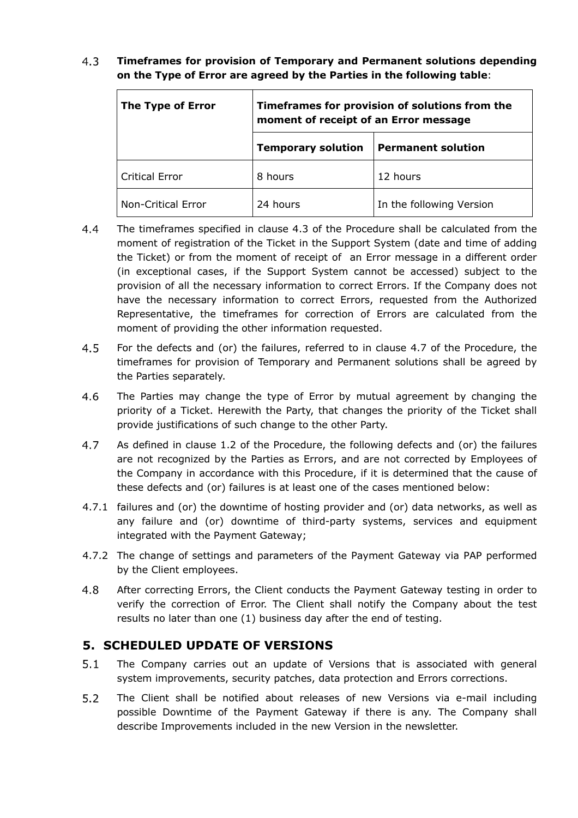#### $4.3$ **Timeframes for provision of Temporary and Permanent solutions depending on the Type of Error are agreed by the Parties in the following table**:

| The Type of Error         | Timeframes for provision of solutions from the<br>moment of receipt of an Error message |                           |
|---------------------------|-----------------------------------------------------------------------------------------|---------------------------|
|                           | <b>Temporary solution</b>                                                               | <b>Permanent solution</b> |
| <b>Critical Error</b>     | 8 hours                                                                                 | 12 hours                  |
| <b>Non-Critical Error</b> | 24 hours                                                                                | In the following Version  |

- $4.4$ The timeframes specified in clause 4.3 of the Procedure shall be calculated from the moment of registration of the Ticket in the Support System (date and time of adding the Ticket) or from the moment of receipt of an Error message in a different order (in exceptional cases, if the Support System cannot be accessed) subject to the provision of all the necessary information to correct Errors. If the Company does not have the necessary information to correct Errors, requested from the Authorized Representative, the timeframes for correction of Errors are calculated from the moment of providing the other information requested.
- $4.5$ For the defects and (or) the failures, referred to in clause 4.7 of the Procedure, the timeframes for provision of Temporary and Permanent solutions shall be agreed by the Parties separately.
- 4.6 The Parties may change the type of Error by mutual agreement by changing the priority of a Ticket. Herewith the Party, that changes the priority of the Ticket shall provide justifications of such change to the other Party.
- 4.7 As defined in clause 1.2 of the Procedure, the following defects and (or) the failures are not recognized by the Parties as Errors, and are not corrected by Employees of the Company in accordance with this Procedure, if it is determined that the cause of these defects and (or) failures is at least one of the cases mentioned below:
- 4.7.1 failures and (or) the downtime of hosting provider and (or) data networks, as well as any failure and (or) downtime of third-party systems, services and equipment integrated with the Payment Gateway;
- 4.7.2 The change of settings and parameters of the Payment Gateway via PAP performed by the Client employees.
- 4.8 After correcting Errors, the Client conducts the Payment Gateway testing in order to verify the correction of Error. The Client shall notify the Company about the test results no later than one (1) business day after the end of testing.

### **5. SCHEDULED UPDATE OF VERSIONS**

- $5.1$ The Company carries out an update of Versions that is associated with general system improvements, security patches, data protection and Errors corrections.
- $5.2$ The Client shall be notified about releases of new Versions via e-mail including possible Downtime of the Payment Gateway if there is any. The Company shall describe Improvements included in the new Version in the newsletter.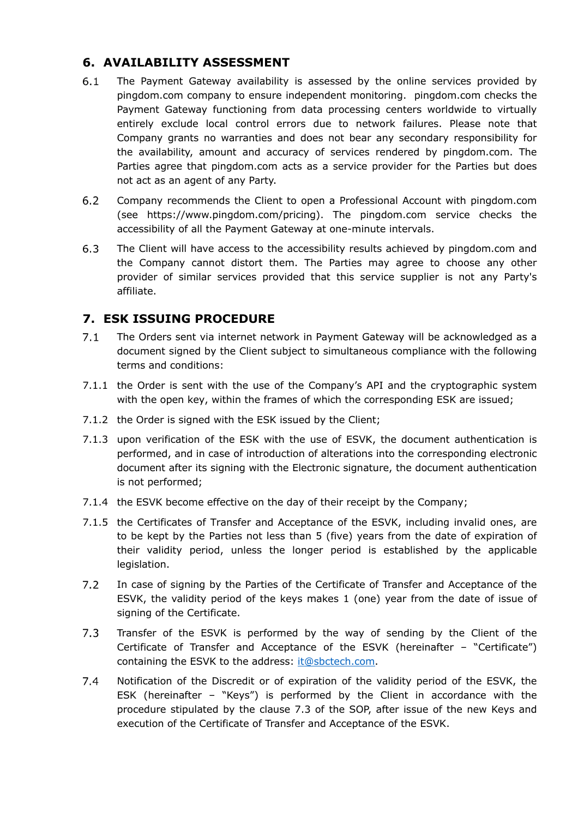### **6. AVAILABILITY ASSESSMENT**

- $6.1$ The Payment Gateway availability is assessed by the online services provided by pingdom.com company to ensure independent monitoring. pingdom.com checks the Payment Gateway functioning from data processing centers worldwide to virtually entirely exclude local control errors due to network failures. Please note that Company grants no warranties and does not bear any secondary responsibility for the availability, amount and accuracy of services rendered by pingdom.com. The Parties agree that pingdom.com acts as a service provider for the Parties but does not act as an agent of any Party.
- $6.2$ Company recommends the Client to open a Professional Account with pingdom.com (see https://www.pingdom.com/pricing). The pingdom.com service checks the accessibility of all the Payment Gateway at one-minute intervals.
- $6.3$ The Client will have access to the accessibility results achieved by pingdom.com and the Company cannot distort them. The Parties may agree to choose any other provider of similar services provided that this service supplier is not any Party's affiliate.

## **7. ESK ISSUING PROCEDURE**

- $7.1$ The Orders sent via internet network in Payment Gateway will be acknowledged as a document signed by the Client subject to simultaneous compliance with the following terms and conditions:
- 7.1.1 the Order is sent with the use of the Company's API and the cryptographic system with the open key, within the frames of which the corresponding ESK are issued;
- 7.1.2 the Order is signed with the ESK issued by the Client;
- 7.1.3 upon verification of the ESK with the use of ESVK, the document authentication is performed, and in case of introduction of alterations into the corresponding electronic document after its signing with the Electronic signature, the document authentication is not performed;
- 7.1.4 the ESVK become effective on the day of their receipt by the Company;
- 7.1.5 the Certificates of Transfer and Acceptance of the ESVK, including invalid ones, are to be kept by the Parties not less than 5 (five) years from the date of expiration of their validity period, unless the longer period is established by the applicable legislation.
- $7.2$ In case of signing by the Parties of the Certificate of Transfer and Acceptance of the ESVK, the validity period of the keys makes 1 (one) year from the date of issue of signing of the Certificate.
- $7.3$ Transfer of the ESVK is performed by the way of sending by the Client of the Certificate of Transfer and Acceptance of the ESVK (hereinafter – "Certificate") containing the ESVK to the address: it@sbctech.com.
- $7.4$ Notification of the Discredit or of expiration of the validity period of the ESVK, the ESK (hereinafter – "Keys") is performed by the Client in accordance with the procedure stipulated by the clause 7.3 of the SOP, after issue of the new Keys and execution of the Certificate of Transfer and Acceptance of the ESVK.